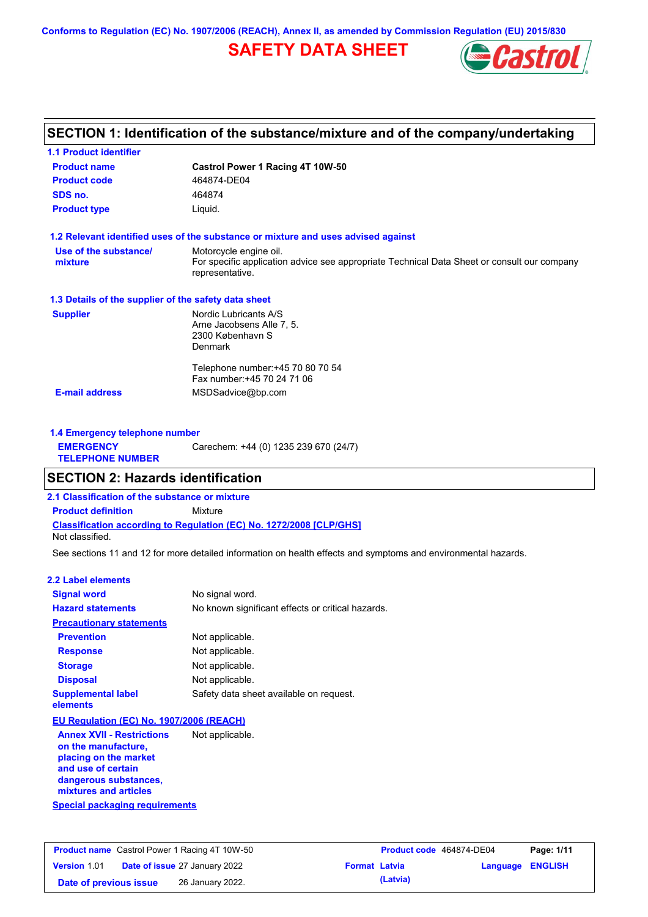**Conforms to Regulation (EC) No. 1907/2006 (REACH), Annex II, as amended by Commission Regulation (EU) 2015/830**

### **SAFETY DATA SHEET**



### **SECTION 1: Identification of the substance/mixture and of the company/undertaking**

| <b>Product name</b>                                  | Castrol Power 1 Racing 4T 10W-50                                                                                                         |
|------------------------------------------------------|------------------------------------------------------------------------------------------------------------------------------------------|
| <b>Product code</b>                                  | 464874-DE04                                                                                                                              |
| SDS no.                                              | 464874                                                                                                                                   |
| <b>Product type</b>                                  | Liquid.                                                                                                                                  |
|                                                      | 1.2 Relevant identified uses of the substance or mixture and uses advised against                                                        |
| Use of the substance/<br>mixture                     | Motorcycle engine oil.<br>For specific application advice see appropriate Technical Data Sheet or consult our company<br>representative. |
| 1.3 Details of the supplier of the safety data sheet |                                                                                                                                          |
| <b>Supplier</b>                                      | Nordic Lubricants A/S<br>Arne Jacobsens Alle 7, 5.<br>2300 København S<br><b>Denmark</b>                                                 |
|                                                      | Telephone number: +45 70 80 70 54<br>Fax number: +45 70 24 71 06                                                                         |
| <b>E-mail address</b>                                | MSDSadvice@bp.com                                                                                                                        |

| 1.4 Emergency telephone number              |                                       |
|---------------------------------------------|---------------------------------------|
| <b>EMERGENCY</b><br><b>TELEPHONE NUMBER</b> | Carechem: +44 (0) 1235 239 670 (24/7) |

#### **SECTION 2: Hazards identification**

**2.1 Classification of the substance or mixture**

**Classification according to Regulation (EC) No. 1272/2008 [CLP/GHS] Product definition** Mixture

Not classified.

See sections 11 and 12 for more detailed information on health effects and symptoms and environmental hazards.

#### **2.2 Label elements**

| <b>Signal word</b>                       | No signal word.                                   |
|------------------------------------------|---------------------------------------------------|
| <b>Hazard statements</b>                 | No known significant effects or critical hazards. |
| <b>Precautionary statements</b>          |                                                   |
| <b>Prevention</b>                        | Not applicable.                                   |
| <b>Response</b>                          | Not applicable.                                   |
| <b>Storage</b>                           | Not applicable.                                   |
| <b>Disposal</b>                          | Not applicable.                                   |
| <b>Supplemental label</b><br>elements    | Safety data sheet available on request.           |
| EU Regulation (EC) No. 1907/2006 (REACH) |                                                   |
| <b>Annex XVII - Restrictions</b>         | Not applicable.                                   |

**Special packaging requirements on the manufacture, placing on the market and use of certain dangerous substances, mixtures and articles**

|                        | <b>Product name</b> Castrol Power 1 Racing 4T 10W-50 |                      | Product code 464874-DE04 |                  | Page: 1/11 |
|------------------------|------------------------------------------------------|----------------------|--------------------------|------------------|------------|
| <b>Version 1.01</b>    | <b>Date of issue 27 January 2022</b>                 | <b>Format Latvia</b> |                          | Language ENGLISH |            |
| Date of previous issue | 26 January 2022.                                     |                      | (Latvia)                 |                  |            |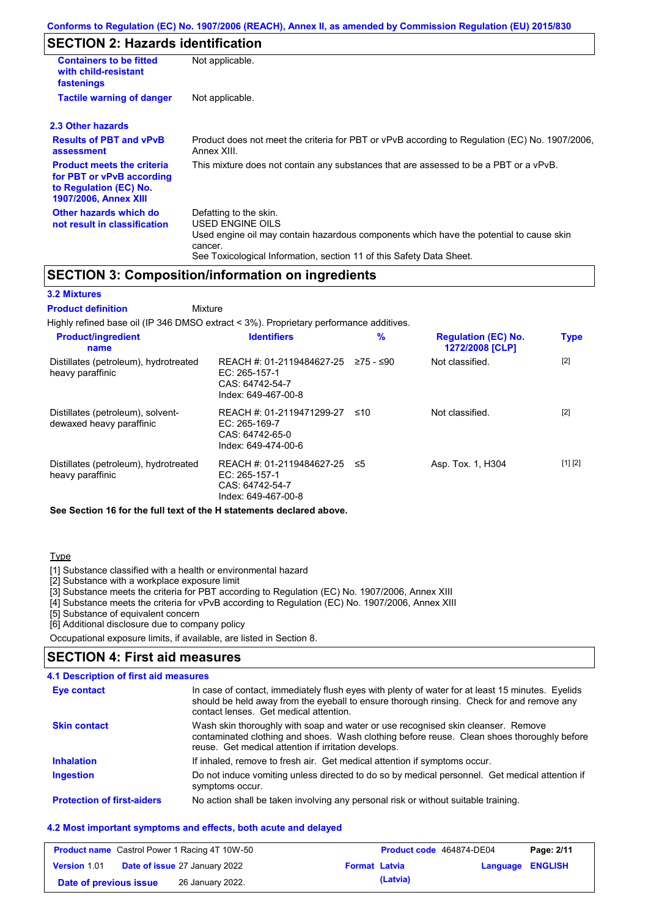### **SECTION 2: Hazards identification**

| <b>Containers to be fitted</b><br>with child-resistant<br>fastenings                                                     | Not applicable.                                                                                                                                                                                                          |
|--------------------------------------------------------------------------------------------------------------------------|--------------------------------------------------------------------------------------------------------------------------------------------------------------------------------------------------------------------------|
| <b>Tactile warning of danger</b>                                                                                         | Not applicable.                                                                                                                                                                                                          |
| 2.3 Other hazards                                                                                                        |                                                                                                                                                                                                                          |
| <b>Results of PBT and vPvB</b><br>assessment                                                                             | Product does not meet the criteria for PBT or vPvB according to Regulation (EC) No. 1907/2006,<br>Annex XIII.                                                                                                            |
| <b>Product meets the criteria</b><br>for PBT or vPvB according<br>to Regulation (EC) No.<br><b>1907/2006, Annex XIII</b> | This mixture does not contain any substances that are assessed to be a PBT or a vPvB.                                                                                                                                    |
| Other hazards which do<br>not result in classification                                                                   | Defatting to the skin.<br>USED ENGINE OILS<br>Used engine oil may contain hazardous components which have the potential to cause skin<br>cancer.<br>See Toxicological Information, section 11 of this Safety Data Sheet. |

#### **SECTION 3: Composition/information on ingredients**

#### **3.2 Mixtures**

Mixture **Product definition**

| Highly refined base oil (IP 346 DMSO extract < 3%). Proprietary performance additives. |                                                                                      |           |                                               |             |
|----------------------------------------------------------------------------------------|--------------------------------------------------------------------------------------|-----------|-----------------------------------------------|-------------|
| <b>Product/ingredient</b><br>name                                                      | <b>Identifiers</b>                                                                   | $\%$      | <b>Regulation (EC) No.</b><br>1272/2008 [CLP] | <b>Type</b> |
| Distillates (petroleum), hydrotreated<br>heavy paraffinic                              | REACH #: 01-2119484627-25<br>EC: 265-157-1<br>CAS: 64742-54-7<br>Index: 649-467-00-8 | 275 - ≤90 | Not classified.                               | $[2]$       |
| Distillates (petroleum), solvent-<br>dewaxed heavy paraffinic                          | REACH #: 01-2119471299-27<br>EC: 265-169-7<br>CAS: 64742-65-0<br>Index: 649-474-00-6 | ≤10       | Not classified.                               | $[2]$       |
| Distillates (petroleum), hydrotreated<br>heavy paraffinic                              | REACH #: 01-2119484627-25<br>EC: 265-157-1<br>CAS: 64742-54-7<br>Index: 649-467-00-8 | ≤5        | Asp. Tox. 1, H304                             | [1] [2]     |

**See Section 16 for the full text of the H statements declared above.**

#### **Type**

[1] Substance classified with a health or environmental hazard

[2] Substance with a workplace exposure limit

[3] Substance meets the criteria for PBT according to Regulation (EC) No. 1907/2006, Annex XIII

[4] Substance meets the criteria for vPvB according to Regulation (EC) No. 1907/2006, Annex XIII

[5] Substance of equivalent concern

[6] Additional disclosure due to company policy

Occupational exposure limits, if available, are listed in Section 8.

#### **SECTION 4: First aid measures**

#### **4.1 Description of first aid measures**

| Eye contact                       | In case of contact, immediately flush eyes with plenty of water for at least 15 minutes. Eyelids<br>should be held away from the eyeball to ensure thorough rinsing. Check for and remove any<br>contact lenses. Get medical attention. |
|-----------------------------------|-----------------------------------------------------------------------------------------------------------------------------------------------------------------------------------------------------------------------------------------|
| <b>Skin contact</b>               | Wash skin thoroughly with soap and water or use recognised skin cleanser. Remove<br>contaminated clothing and shoes. Wash clothing before reuse. Clean shoes thoroughly before<br>reuse. Get medical attention if irritation develops.  |
| <b>Inhalation</b>                 | If inhaled, remove to fresh air. Get medical attention if symptoms occur.                                                                                                                                                               |
| <b>Ingestion</b>                  | Do not induce vomiting unless directed to do so by medical personnel. Get medical attention if<br>symptoms occur.                                                                                                                       |
| <b>Protection of first-aiders</b> | No action shall be taken involving any personal risk or without suitable training.                                                                                                                                                      |

#### **4.2 Most important symptoms and effects, both acute and delayed**

|                        | <b>Product name</b> Castrol Power 1 Racing 4T 10W-50 |                      | Product code 464874-DE04 |                         | Page: 2/11 |
|------------------------|------------------------------------------------------|----------------------|--------------------------|-------------------------|------------|
| Version 1.01           | <b>Date of issue 27 January 2022</b>                 | <b>Format Latvia</b> |                          | <b>Language ENGLISH</b> |            |
| Date of previous issue | 26 January 2022.                                     |                      | (Latvia)                 |                         |            |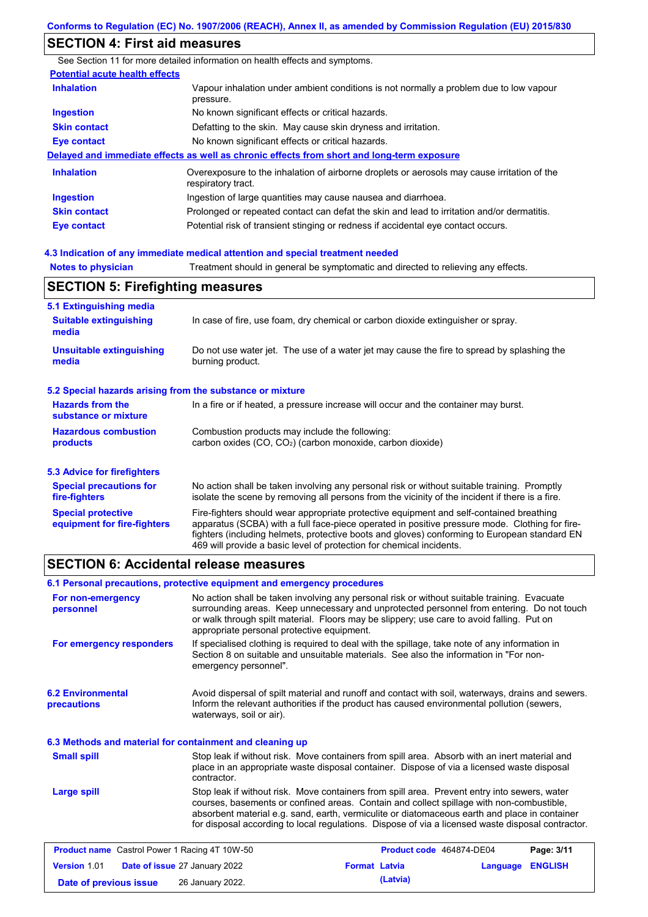#### **SECTION 4: First aid measures**

**Notes to physician** Treatment should in general be symptomatic and directed to relieving any effects. **4.3 Indication of any immediate medical attention and special treatment needed** See Section 11 for more detailed information on health effects and symptoms. **Potential acute health effects Inhalation** Vapour inhalation under ambient conditions is not normally a problem due to low vapour pressure. **Ingestion** No known significant effects or critical hazards. **Skin contact** Defatting to the skin. May cause skin dryness and irritation. **Eye contact** No known significant effects or critical hazards. **Delayed and immediate effects as well as chronic effects from short and long-term exposure Inhalation Ingestion Skin contact Eye contact** Overexposure to the inhalation of airborne droplets or aerosols may cause irritation of the respiratory tract. Ingestion of large quantities may cause nausea and diarrhoea. Prolonged or repeated contact can defat the skin and lead to irritation and/or dermatitis. Potential risk of transient stinging or redness if accidental eye contact occurs.

| <b>SECTION 5: Firefighting measures</b>                           |                                                                                                                                                                                                                                                                                                                                                                   |  |
|-------------------------------------------------------------------|-------------------------------------------------------------------------------------------------------------------------------------------------------------------------------------------------------------------------------------------------------------------------------------------------------------------------------------------------------------------|--|
| 5.1 Extinguishing media<br><b>Suitable extinguishing</b><br>media | In case of fire, use foam, dry chemical or carbon dioxide extinguisher or spray.                                                                                                                                                                                                                                                                                  |  |
| <b>Unsuitable extinguishing</b><br>media                          | Do not use water jet. The use of a water jet may cause the fire to spread by splashing the<br>burning product.                                                                                                                                                                                                                                                    |  |
| 5.2 Special hazards arising from the substance or mixture         |                                                                                                                                                                                                                                                                                                                                                                   |  |
| <b>Hazards from the</b><br>substance or mixture                   | In a fire or if heated, a pressure increase will occur and the container may burst.                                                                                                                                                                                                                                                                               |  |
| <b>Hazardous combustion</b><br>products                           | Combustion products may include the following:<br>carbon oxides $(CO, CO2)$ (carbon monoxide, carbon dioxide)                                                                                                                                                                                                                                                     |  |
| 5.3 Advice for firefighters                                       |                                                                                                                                                                                                                                                                                                                                                                   |  |
| <b>Special precautions for</b><br>fire-fighters                   | No action shall be taken involving any personal risk or without suitable training. Promptly<br>isolate the scene by removing all persons from the vicinity of the incident if there is a fire.                                                                                                                                                                    |  |
| <b>Special protective</b><br>equipment for fire-fighters          | Fire-fighters should wear appropriate protective equipment and self-contained breathing<br>apparatus (SCBA) with a full face-piece operated in positive pressure mode. Clothing for fire-<br>fighters (including helmets, protective boots and gloves) conforming to European standard EN<br>469 will provide a basic level of protection for chemical incidents. |  |

#### **SECTION 6: Accidental release measures**

| 6.1 Personal precautions, protective equipment and emergency procedures |                                            |                                                                                                                                                                                                                                                                                                                                                                                                |          |                |
|-------------------------------------------------------------------------|--------------------------------------------|------------------------------------------------------------------------------------------------------------------------------------------------------------------------------------------------------------------------------------------------------------------------------------------------------------------------------------------------------------------------------------------------|----------|----------------|
| For non-emergency<br>personnel                                          | appropriate personal protective equipment. | No action shall be taken involving any personal risk or without suitable training. Evacuate<br>surrounding areas. Keep unnecessary and unprotected personnel from entering. Do not touch<br>or walk through spilt material. Floors may be slippery; use care to avoid falling. Put on                                                                                                          |          |                |
| For emergency responders                                                | emergency personnel".                      | If specialised clothing is required to deal with the spillage, take note of any information in<br>Section 8 on suitable and unsuitable materials. See also the information in "For non-                                                                                                                                                                                                        |          |                |
| <b>6.2 Environmental</b><br>precautions                                 | waterways, soil or air).                   | Avoid dispersal of spilt material and runoff and contact with soil, waterways, drains and sewers.<br>Inform the relevant authorities if the product has caused environmental pollution (sewers,                                                                                                                                                                                                |          |                |
| 6.3 Methods and material for containment and cleaning up                |                                            |                                                                                                                                                                                                                                                                                                                                                                                                |          |                |
| <b>Small spill</b>                                                      | contractor.                                | Stop leak if without risk. Move containers from spill area. Absorb with an inert material and<br>place in an appropriate waste disposal container. Dispose of via a licensed waste disposal                                                                                                                                                                                                    |          |                |
| <b>Large spill</b>                                                      |                                            | Stop leak if without risk. Move containers from spill area. Prevent entry into sewers, water<br>courses, basements or confined areas. Contain and collect spillage with non-combustible,<br>absorbent material e.g. sand, earth, vermiculite or diatomaceous earth and place in container<br>for disposal according to local regulations. Dispose of via a licensed waste disposal contractor. |          |                |
| <b>Product name</b> Castrol Power 1 Racing 4T 10W-50                    |                                            | Product code 464874-DE04                                                                                                                                                                                                                                                                                                                                                                       |          | Page: 3/11     |
| <b>Version 1.01</b>                                                     | Date of issue 27 January 2022              | <b>Format Latvia</b>                                                                                                                                                                                                                                                                                                                                                                           | Language | <b>ENGLISH</b> |

**Date of previous issue (Latvia)** 26 January 2022.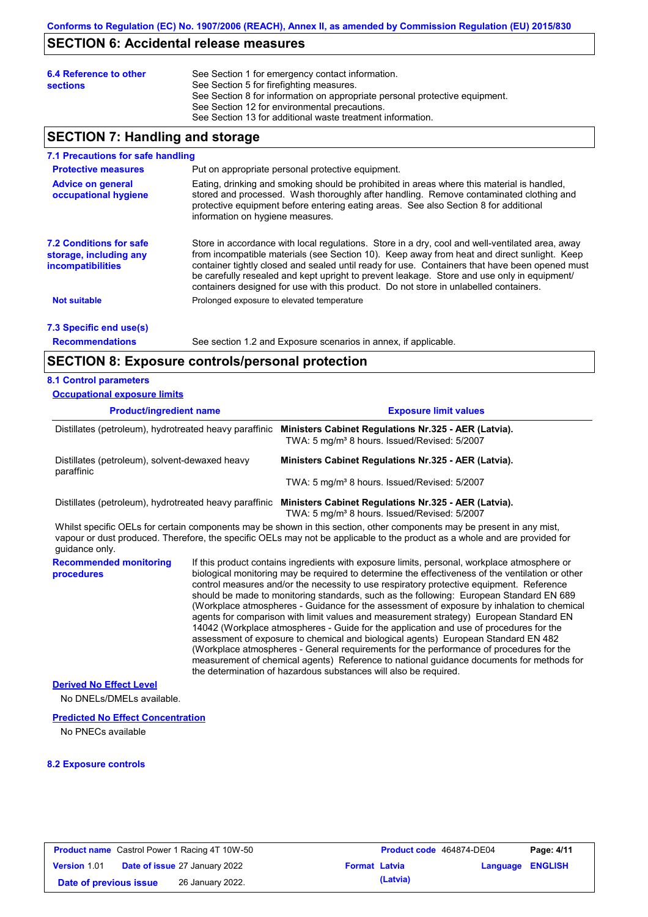#### **SECTION 6: Accidental release measures**

| 6.4 Reference to other<br><b>sections</b> | See Section 1 for emergency contact information.<br>See Section 5 for firefighting measures.<br>See Section 8 for information on appropriate personal protective equipment.<br>See Section 12 for environmental precautions.<br>See Section 13 for additional waste treatment information. |
|-------------------------------------------|--------------------------------------------------------------------------------------------------------------------------------------------------------------------------------------------------------------------------------------------------------------------------------------------|
|                                           |                                                                                                                                                                                                                                                                                            |

#### **SECTION 7: Handling and storage**

#### **7.1 Precautions for safe handling**

| <b>Protective measures</b>                                                           | Put on appropriate personal protective equipment.                                                                                                                                                                                                                                                                                                                                                                                                                                        |
|--------------------------------------------------------------------------------------|------------------------------------------------------------------------------------------------------------------------------------------------------------------------------------------------------------------------------------------------------------------------------------------------------------------------------------------------------------------------------------------------------------------------------------------------------------------------------------------|
| <b>Advice on general</b><br>occupational hygiene                                     | Eating, drinking and smoking should be prohibited in areas where this material is handled,<br>stored and processed. Wash thoroughly after handling. Remove contaminated clothing and<br>protective equipment before entering eating areas. See also Section 8 for additional<br>information on hygiene measures.                                                                                                                                                                         |
| <b>7.2 Conditions for safe</b><br>storage, including any<br><i>incompatibilities</i> | Store in accordance with local regulations. Store in a dry, cool and well-ventilated area, away<br>from incompatible materials (see Section 10). Keep away from heat and direct sunlight. Keep<br>container tightly closed and sealed until ready for use. Containers that have been opened must<br>be carefully resealed and kept upright to prevent leakage. Store and use only in equipment/<br>containers designed for use with this product. Do not store in unlabelled containers. |
| <b>Not suitable</b>                                                                  | Prolonged exposure to elevated temperature                                                                                                                                                                                                                                                                                                                                                                                                                                               |

### **7.3 Specific end use(s)**

**Recommendations**

See section 1.2 and Exposure scenarios in annex, if applicable.

#### **SECTION 8: Exposure controls/personal protection**

#### **8.1 Control parameters**

| <b>Occupational exposure limits</b>                    |                                                                                                                                                                                                                                                      |
|--------------------------------------------------------|------------------------------------------------------------------------------------------------------------------------------------------------------------------------------------------------------------------------------------------------------|
| <b>Product/ingredient name</b>                         | <b>Exposure limit values</b>                                                                                                                                                                                                                         |
| Distillates (petroleum), hydrotreated heavy paraffinic | Ministers Cabinet Regulations Nr.325 - AER (Latvia).<br>TWA: 5 mg/m <sup>3</sup> 8 hours. Issued/Revised: 5/2007                                                                                                                                     |
| Distillates (petroleum), solvent-dewaxed heavy         | Ministers Cabinet Regulations Nr.325 - AER (Latvia).                                                                                                                                                                                                 |
| paraffinic                                             | TWA: 5 mg/m <sup>3</sup> 8 hours. Issued/Revised: 5/2007                                                                                                                                                                                             |
| Distillates (petroleum), hydrotreated heavy paraffinic | Ministers Cabinet Regulations Nr.325 - AER (Latvia).<br>TWA: 5 mg/m <sup>3</sup> 8 hours. Issued/Revised: 5/2007                                                                                                                                     |
| quidance only.                                         | Whilst specific OELs for certain components may be shown in this section, other components may be present in any mist,<br>vapour or dust produced. Therefore, the specific OELs may not be applicable to the product as a whole and are provided for |
| <b>Recommended monitoring</b>                          | If this product contains ingredients with exposure limits, personal, workplace atmosphere or                                                                                                                                                         |

**procedures** biological monitoring may be required to determine the effectiveness of the ventilation or other control measures and/or the necessity to use respiratory protective equipment. Reference should be made to monitoring standards, such as the following: European Standard EN 689 (Workplace atmospheres - Guidance for the assessment of exposure by inhalation to chemical agents for comparison with limit values and measurement strategy) European Standard EN 14042 (Workplace atmospheres - Guide for the application and use of procedures for the assessment of exposure to chemical and biological agents) European Standard EN 482 (Workplace atmospheres - General requirements for the performance of procedures for the measurement of chemical agents) Reference to national guidance documents for methods for the determination of hazardous substances will also be required.

#### **Derived No Effect Level**

No DNELs/DMELs available.

#### **Predicted No Effect Concentration**

No PNECs available

#### **8.2 Exposure controls**

|                        | <b>Product name</b> Castrol Power 1 Racing 4T 10W-50 |                      | <b>Product code</b> 464874-DE04 |                         | Page: 4/11 |
|------------------------|------------------------------------------------------|----------------------|---------------------------------|-------------------------|------------|
| <b>Version 1.01</b>    | <b>Date of issue 27 January 2022</b>                 | <b>Format Latvia</b> |                                 | <b>Language ENGLISH</b> |            |
| Date of previous issue | 26 January 2022.                                     |                      | (Latvia)                        |                         |            |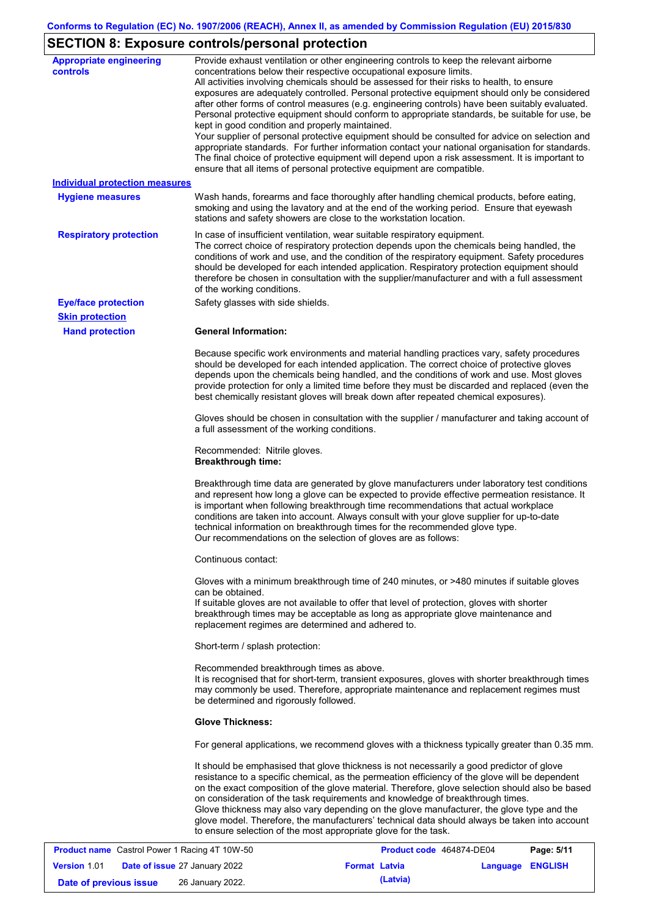## **SECTION 8: Exposure controls/personal protection**

| <b>Appropriate engineering</b><br><b>controls</b> | Provide exhaust ventilation or other engineering controls to keep the relevant airborne<br>concentrations below their respective occupational exposure limits.<br>All activities involving chemicals should be assessed for their risks to health, to ensure<br>exposures are adequately controlled. Personal protective equipment should only be considered<br>after other forms of control measures (e.g. engineering controls) have been suitably evaluated.<br>Personal protective equipment should conform to appropriate standards, be suitable for use, be<br>kept in good condition and properly maintained.<br>Your supplier of personal protective equipment should be consulted for advice on selection and<br>appropriate standards. For further information contact your national organisation for standards.<br>The final choice of protective equipment will depend upon a risk assessment. It is important to<br>ensure that all items of personal protective equipment are compatible. |
|---------------------------------------------------|---------------------------------------------------------------------------------------------------------------------------------------------------------------------------------------------------------------------------------------------------------------------------------------------------------------------------------------------------------------------------------------------------------------------------------------------------------------------------------------------------------------------------------------------------------------------------------------------------------------------------------------------------------------------------------------------------------------------------------------------------------------------------------------------------------------------------------------------------------------------------------------------------------------------------------------------------------------------------------------------------------|
| <b>Individual protection measures</b>             |                                                                                                                                                                                                                                                                                                                                                                                                                                                                                                                                                                                                                                                                                                                                                                                                                                                                                                                                                                                                         |
| <b>Hygiene measures</b>                           | Wash hands, forearms and face thoroughly after handling chemical products, before eating,<br>smoking and using the lavatory and at the end of the working period. Ensure that eyewash<br>stations and safety showers are close to the workstation location.                                                                                                                                                                                                                                                                                                                                                                                                                                                                                                                                                                                                                                                                                                                                             |
| <b>Respiratory protection</b>                     | In case of insufficient ventilation, wear suitable respiratory equipment.<br>The correct choice of respiratory protection depends upon the chemicals being handled, the<br>conditions of work and use, and the condition of the respiratory equipment. Safety procedures<br>should be developed for each intended application. Respiratory protection equipment should<br>therefore be chosen in consultation with the supplier/manufacturer and with a full assessment<br>of the working conditions.                                                                                                                                                                                                                                                                                                                                                                                                                                                                                                   |
| <b>Eye/face protection</b>                        | Safety glasses with side shields.                                                                                                                                                                                                                                                                                                                                                                                                                                                                                                                                                                                                                                                                                                                                                                                                                                                                                                                                                                       |
| <b>Skin protection</b>                            |                                                                                                                                                                                                                                                                                                                                                                                                                                                                                                                                                                                                                                                                                                                                                                                                                                                                                                                                                                                                         |
| <b>Hand protection</b>                            | <b>General Information:</b>                                                                                                                                                                                                                                                                                                                                                                                                                                                                                                                                                                                                                                                                                                                                                                                                                                                                                                                                                                             |
|                                                   | Because specific work environments and material handling practices vary, safety procedures<br>should be developed for each intended application. The correct choice of protective gloves<br>depends upon the chemicals being handled, and the conditions of work and use. Most gloves<br>provide protection for only a limited time before they must be discarded and replaced (even the<br>best chemically resistant gloves will break down after repeated chemical exposures).                                                                                                                                                                                                                                                                                                                                                                                                                                                                                                                        |
|                                                   | Gloves should be chosen in consultation with the supplier / manufacturer and taking account of<br>a full assessment of the working conditions.                                                                                                                                                                                                                                                                                                                                                                                                                                                                                                                                                                                                                                                                                                                                                                                                                                                          |
|                                                   | Recommended: Nitrile gloves.<br><b>Breakthrough time:</b>                                                                                                                                                                                                                                                                                                                                                                                                                                                                                                                                                                                                                                                                                                                                                                                                                                                                                                                                               |
|                                                   | Breakthrough time data are generated by glove manufacturers under laboratory test conditions<br>and represent how long a glove can be expected to provide effective permeation resistance. It<br>is important when following breakthrough time recommendations that actual workplace<br>conditions are taken into account. Always consult with your glove supplier for up-to-date<br>technical information on breakthrough times for the recommended glove type.<br>Our recommendations on the selection of gloves are as follows:                                                                                                                                                                                                                                                                                                                                                                                                                                                                      |
|                                                   | Continuous contact:                                                                                                                                                                                                                                                                                                                                                                                                                                                                                                                                                                                                                                                                                                                                                                                                                                                                                                                                                                                     |
|                                                   | Gloves with a minimum breakthrough time of 240 minutes, or >480 minutes if suitable gloves<br>can be obtained.<br>If suitable gloves are not available to offer that level of protection, gloves with shorter<br>breakthrough times may be acceptable as long as appropriate glove maintenance and<br>replacement regimes are determined and adhered to.                                                                                                                                                                                                                                                                                                                                                                                                                                                                                                                                                                                                                                                |
|                                                   | Short-term / splash protection:                                                                                                                                                                                                                                                                                                                                                                                                                                                                                                                                                                                                                                                                                                                                                                                                                                                                                                                                                                         |
|                                                   | Recommended breakthrough times as above.<br>It is recognised that for short-term, transient exposures, gloves with shorter breakthrough times<br>may commonly be used. Therefore, appropriate maintenance and replacement regimes must<br>be determined and rigorously followed.                                                                                                                                                                                                                                                                                                                                                                                                                                                                                                                                                                                                                                                                                                                        |
|                                                   | <b>Glove Thickness:</b>                                                                                                                                                                                                                                                                                                                                                                                                                                                                                                                                                                                                                                                                                                                                                                                                                                                                                                                                                                                 |
|                                                   | For general applications, we recommend gloves with a thickness typically greater than 0.35 mm.                                                                                                                                                                                                                                                                                                                                                                                                                                                                                                                                                                                                                                                                                                                                                                                                                                                                                                          |
|                                                   | It should be emphasised that glove thickness is not necessarily a good predictor of glove<br>resistance to a specific chemical, as the permeation efficiency of the glove will be dependent<br>on the exact composition of the glove material. Therefore, glove selection should also be based<br>on consideration of the task requirements and knowledge of breakthrough times.<br>Glove thickness may also vary depending on the glove manufacturer, the glove type and the<br>glove model. Therefore, the manufacturers' technical data should always be taken into account<br>to ensure selection of the most appropriate glove for the task.                                                                                                                                                                                                                                                                                                                                                       |
| Coetrol Dower 1 Poeing 4T 1014 50                 | <b>Droduct code</b> 464974 DE04<br>Dao: E/44                                                                                                                                                                                                                                                                                                                                                                                                                                                                                                                                                                                                                                                                                                                                                                                                                                                                                                                                                            |

|                        | <b>Product name</b> Castrol Power 1 Racing 4T 10W-50 |                      | Product code 464874-DE04 |                  | Page: 5/11 |
|------------------------|------------------------------------------------------|----------------------|--------------------------|------------------|------------|
| <b>Version 1.01</b>    | <b>Date of issue 27 January 2022</b>                 | <b>Format Latvia</b> |                          | Language ENGLISH |            |
| Date of previous issue | 26 January 2022.                                     |                      | (Latvia)                 |                  |            |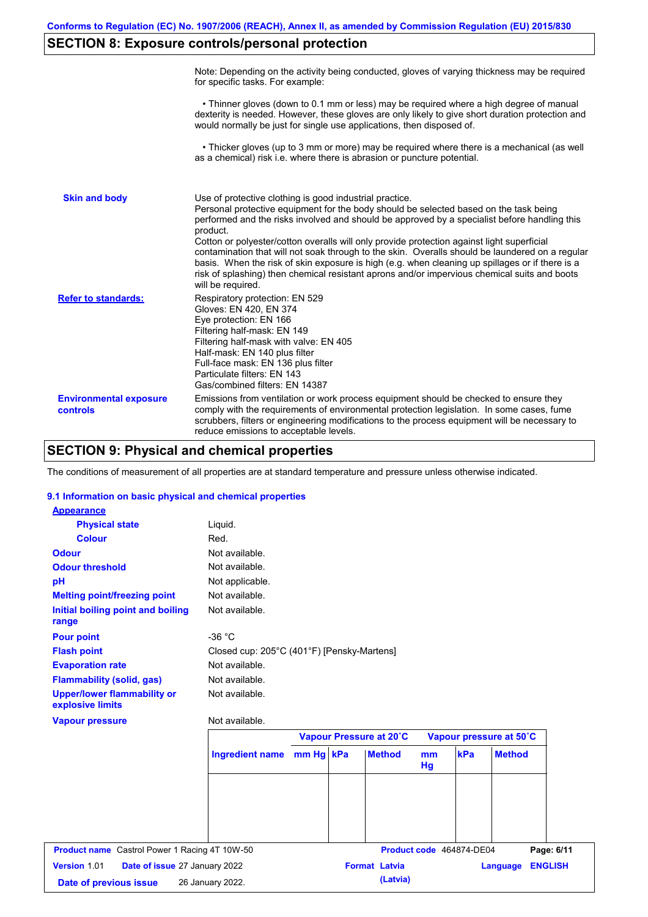### **SECTION 8: Exposure controls/personal protection**

|                                           | Note: Depending on the activity being conducted, gloves of varying thickness may be required<br>for specific tasks. For example:                                                                                                                                                                                                                                                                                                                                                                                                                                                                                                                                                      |
|-------------------------------------------|---------------------------------------------------------------------------------------------------------------------------------------------------------------------------------------------------------------------------------------------------------------------------------------------------------------------------------------------------------------------------------------------------------------------------------------------------------------------------------------------------------------------------------------------------------------------------------------------------------------------------------------------------------------------------------------|
|                                           | • Thinner gloves (down to 0.1 mm or less) may be required where a high degree of manual<br>dexterity is needed. However, these gloves are only likely to give short duration protection and<br>would normally be just for single use applications, then disposed of.                                                                                                                                                                                                                                                                                                                                                                                                                  |
|                                           | • Thicker gloves (up to 3 mm or more) may be required where there is a mechanical (as well<br>as a chemical) risk i.e. where there is abrasion or puncture potential.                                                                                                                                                                                                                                                                                                                                                                                                                                                                                                                 |
| <b>Skin and body</b>                      | Use of protective clothing is good industrial practice.<br>Personal protective equipment for the body should be selected based on the task being<br>performed and the risks involved and should be approved by a specialist before handling this<br>product.<br>Cotton or polyester/cotton overalls will only provide protection against light superficial<br>contamination that will not soak through to the skin. Overalls should be laundered on a regular<br>basis. When the risk of skin exposure is high (e.g. when cleaning up spillages or if there is a<br>risk of splashing) then chemical resistant aprons and/or impervious chemical suits and boots<br>will be required. |
| <b>Refer to standards:</b>                | Respiratory protection: EN 529<br>Gloves: EN 420, EN 374<br>Eye protection: EN 166<br>Filtering half-mask: EN 149<br>Filtering half-mask with valve: EN 405<br>Half-mask: EN 140 plus filter<br>Full-face mask: EN 136 plus filter<br>Particulate filters: EN 143<br>Gas/combined filters: EN 14387                                                                                                                                                                                                                                                                                                                                                                                   |
| <b>Environmental exposure</b><br>controls | Emissions from ventilation or work process equipment should be checked to ensure they<br>comply with the requirements of environmental protection legislation. In some cases, fume<br>scrubbers, filters or engineering modifications to the process equipment will be necessary to<br>reduce emissions to acceptable levels.                                                                                                                                                                                                                                                                                                                                                         |

### **SECTION 9: Physical and chemical properties**

The conditions of measurement of all properties are at standard temperature and pressure unless otherwise indicated.

#### **9.1 Information on basic physical and chemical properties**

| <b>Appearance</b>                                      |                                            |           |                         |                      |                          |                            |
|--------------------------------------------------------|--------------------------------------------|-----------|-------------------------|----------------------|--------------------------|----------------------------|
| <b>Physical state</b>                                  | Liquid.                                    |           |                         |                      |                          |                            |
| <b>Colour</b>                                          | Red.                                       |           |                         |                      |                          |                            |
| <b>Odour</b>                                           | Not available.                             |           |                         |                      |                          |                            |
| <b>Odour threshold</b>                                 | Not available.                             |           |                         |                      |                          |                            |
| pH                                                     | Not applicable.                            |           |                         |                      |                          |                            |
| <b>Melting point/freezing point</b>                    | Not available.                             |           |                         |                      |                          |                            |
| Initial boiling point and boiling<br>range             | Not available.                             |           |                         |                      |                          |                            |
| <b>Pour point</b>                                      | $-36 °C$                                   |           |                         |                      |                          |                            |
| <b>Flash point</b>                                     | Closed cup: 205°C (401°F) [Pensky-Martens] |           |                         |                      |                          |                            |
| <b>Evaporation rate</b>                                | Not available.                             |           |                         |                      |                          |                            |
| <b>Flammability (solid, gas)</b>                       | Not available.                             |           |                         |                      |                          |                            |
| <b>Upper/lower flammability or</b><br>explosive limits | Not available.                             |           |                         |                      |                          |                            |
| <b>Vapour pressure</b>                                 | Not available.                             |           |                         |                      |                          |                            |
|                                                        |                                            |           | Vapour Pressure at 20°C |                      |                          | Vapour pressure at 50°C    |
|                                                        | <b>Ingredient name</b>                     | mm Hg kPa | <b>Method</b>           | m <sub>m</sub><br>Hg | kPa                      | <b>Method</b>              |
|                                                        |                                            |           |                         |                      |                          |                            |
|                                                        |                                            |           |                         |                      |                          |                            |
|                                                        |                                            |           |                         |                      |                          |                            |
|                                                        |                                            |           |                         |                      | Product code 464874-DE04 | Page: 6/11                 |
| <b>Product name</b> Castrol Power 1 Racing 4T 10W-50   |                                            |           |                         |                      |                          |                            |
| Version 1.01<br>Date of issue 27 January 2022          |                                            |           | <b>Format Latvia</b>    |                      |                          | <b>ENGLISH</b><br>Language |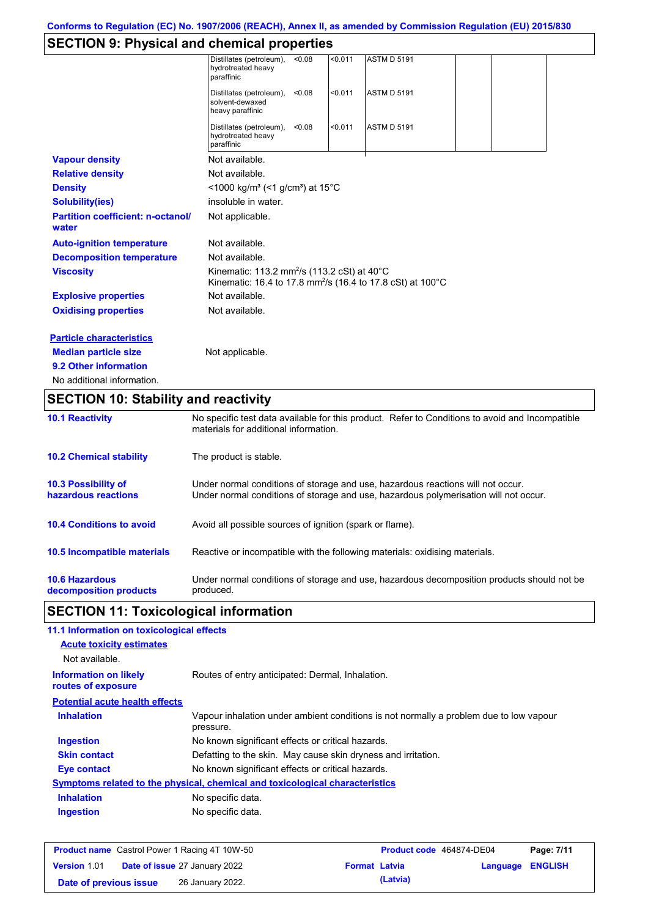### **SECTION 9: Physical and chemical properties**

| <b>10.2 Chemical stability</b>                    | The product is stable.                                                                                                                   |
|---------------------------------------------------|------------------------------------------------------------------------------------------------------------------------------------------|
| <b>10.1 Reactivity</b>                            | No specific test data available for this product. Refer to Conditions to avoid and Incompatible<br>materials for additional information. |
| <b>SECTION 10: Stability and reactivity</b>       |                                                                                                                                          |
| No additional information.                        |                                                                                                                                          |
| 9.2 Other information                             |                                                                                                                                          |
| <b>Median particle size</b>                       | Not applicable.                                                                                                                          |
| <b>Particle characteristics</b>                   |                                                                                                                                          |
| <b>Oxidising properties</b>                       | Not available.                                                                                                                           |
| <b>Explosive properties</b>                       | Not available.                                                                                                                           |
| <b>Viscosity</b>                                  | Kinematic: 113.2 mm <sup>2</sup> /s (113.2 cSt) at 40°C<br>Kinematic: 16.4 to 17.8 mm <sup>2</sup> /s (16.4 to 17.8 cSt) at 100°C        |
| <b>Decomposition temperature</b>                  | Not available.                                                                                                                           |
| <b>Auto-ignition temperature</b>                  | Not available.                                                                                                                           |
| <b>Partition coefficient: n-octanol/</b><br>water | Not applicable.                                                                                                                          |
| <b>Solubility(ies)</b>                            | insoluble in water.                                                                                                                      |
| <b>Density</b>                                    | <1000 kg/m <sup>3</sup> (<1 g/cm <sup>3</sup> ) at 15 <sup>°</sup> C                                                                     |
| <b>Relative density</b>                           | Not available.                                                                                                                           |
| <b>Vapour density</b>                             | Not available.                                                                                                                           |
|                                                   | Distillates (petroleum),<br>< 0.011<br><b>ASTM D 5191</b><br>< 0.08<br>hydrotreated heavy<br>paraffinic                                  |
|                                                   | Distillates (petroleum),<br>< 0.011<br><b>ASTM D 5191</b><br>< 0.08<br>solvent-dewaxed<br>heavy paraffinic                               |
|                                                   | Distillates (petroleum),<br>< 0.08<br>< 0.011<br><b>ASTM D 5191</b><br>hydrotreated heavy<br>paraffinic                                  |

| <b>10.3 Possibility of</b>         | Under normal conditions of storage and use, hazardous reactions will not occur.            |
|------------------------------------|--------------------------------------------------------------------------------------------|
| hazardous reactions                | Under normal conditions of storage and use, hazardous polymerisation will not occur.       |
| <b>10.4 Conditions to avoid</b>    | Avoid all possible sources of ignition (spark or flame).                                   |
| <b>10.5 Incompatible materials</b> | Reactive or incompatible with the following materials: oxidising materials.                |
| <b>10.6 Hazardous</b>              | Under normal conditions of storage and use, hazardous decomposition products should not be |
| decomposition products             | produced.                                                                                  |

# **SECTION 11: Toxicological information**

| 11.1 Information on toxicological effects          |                                                                                                     |
|----------------------------------------------------|-----------------------------------------------------------------------------------------------------|
| <b>Acute toxicity estimates</b>                    |                                                                                                     |
| Not available.                                     |                                                                                                     |
| <b>Information on likely</b><br>routes of exposure | Routes of entry anticipated: Dermal, Inhalation.                                                    |
| <b>Potential acute health effects</b>              |                                                                                                     |
| <b>Inhalation</b>                                  | Vapour inhalation under ambient conditions is not normally a problem due to low vapour<br>pressure. |
| <b>Ingestion</b>                                   | No known significant effects or critical hazards.                                                   |
| <b>Skin contact</b>                                | Defatting to the skin. May cause skin dryness and irritation.                                       |
| Eye contact                                        | No known significant effects or critical hazards.                                                   |
|                                                    | Symptoms related to the physical, chemical and toxicological characteristics                        |
| <b>Inhalation</b>                                  | No specific data.                                                                                   |
| <b>Ingestion</b>                                   | No specific data.                                                                                   |
|                                                    |                                                                                                     |

|                        | <b>Product name</b> Castrol Power 1 Racing 4T 10W-50 |                      | <b>Product code</b> 464874-DE04 |                         | Page: 7/11 |
|------------------------|------------------------------------------------------|----------------------|---------------------------------|-------------------------|------------|
| <b>Version 1.01</b>    | <b>Date of issue 27 January 2022</b>                 | <b>Format Latvia</b> |                                 | <b>Language ENGLISH</b> |            |
| Date of previous issue | 26 January 2022.                                     |                      | (Latvia)                        |                         |            |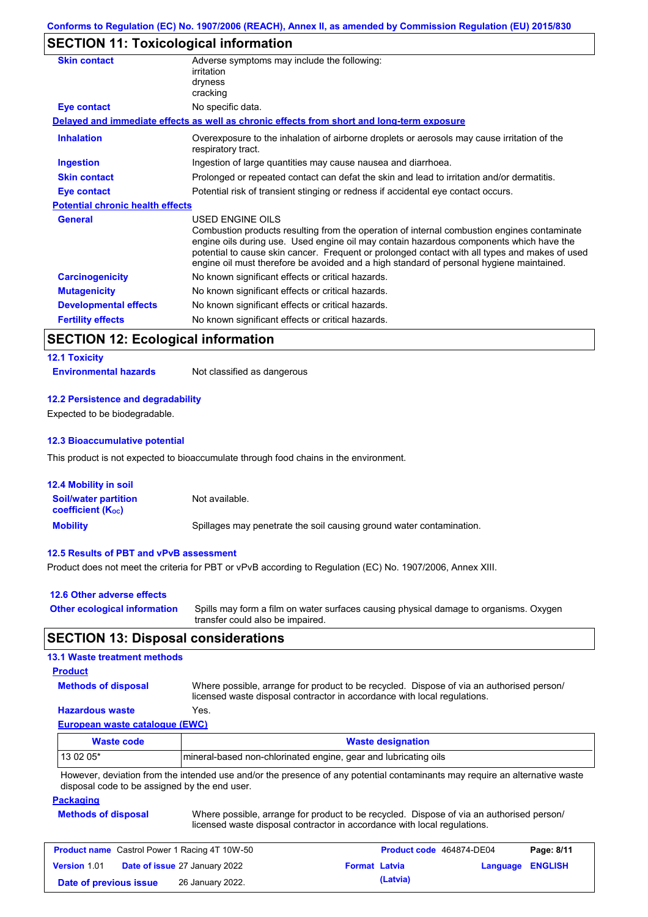### **SECTION 11: Toxicological information**

| <b>Skin contact</b>                     | Adverse symptoms may include the following:<br>irritation<br>dryness<br>cracking                                                                                                                                                                                                                                                                                                                         |
|-----------------------------------------|----------------------------------------------------------------------------------------------------------------------------------------------------------------------------------------------------------------------------------------------------------------------------------------------------------------------------------------------------------------------------------------------------------|
| <b>Eye contact</b>                      | No specific data.                                                                                                                                                                                                                                                                                                                                                                                        |
|                                         | Delayed and immediate effects as well as chronic effects from short and long-term exposure                                                                                                                                                                                                                                                                                                               |
| <b>Inhalation</b>                       | Overexposure to the inhalation of airborne droplets or aerosols may cause irritation of the<br>respiratory tract.                                                                                                                                                                                                                                                                                        |
| <b>Ingestion</b>                        | Ingestion of large quantities may cause nausea and diarrhoea.                                                                                                                                                                                                                                                                                                                                            |
| <b>Skin contact</b>                     | Prolonged or repeated contact can defat the skin and lead to irritation and/or dermatitis.                                                                                                                                                                                                                                                                                                               |
| Eye contact                             | Potential risk of transient stinging or redness if accidental eye contact occurs.                                                                                                                                                                                                                                                                                                                        |
| <b>Potential chronic health effects</b> |                                                                                                                                                                                                                                                                                                                                                                                                          |
| <b>General</b>                          | USED ENGINE OILS<br>Combustion products resulting from the operation of internal combustion engines contaminate<br>engine oils during use. Used engine oil may contain hazardous components which have the<br>potential to cause skin cancer. Frequent or prolonged contact with all types and makes of used<br>engine oil must therefore be avoided and a high standard of personal hygiene maintained. |
| <b>Carcinogenicity</b>                  | No known significant effects or critical hazards.                                                                                                                                                                                                                                                                                                                                                        |
| <b>Mutagenicity</b>                     | No known significant effects or critical hazards.                                                                                                                                                                                                                                                                                                                                                        |
| <b>Developmental effects</b>            | No known significant effects or critical hazards.                                                                                                                                                                                                                                                                                                                                                        |
| <b>Fertility effects</b>                | No known significant effects or critical hazards.                                                                                                                                                                                                                                                                                                                                                        |

### **SECTION 12: Ecological information**

### **12.1 Toxicity**

**Environmental hazards** Not classified as dangerous

#### **12.2 Persistence and degradability**

Expected to be biodegradable.

#### **12.3 Bioaccumulative potential**

This product is not expected to bioaccumulate through food chains in the environment.

| <b>12.4 Mobility in soil</b>                                         |                                                                      |
|----------------------------------------------------------------------|----------------------------------------------------------------------|
| <b>Soil/water partition</b><br><b>coefficient</b> (K <sub>oc</sub> ) | Not available.                                                       |
| <b>Mobility</b>                                                      | Spillages may penetrate the soil causing ground water contamination. |

#### **12.5 Results of PBT and vPvB assessment**

Product does not meet the criteria for PBT or vPvB according to Regulation (EC) No. 1907/2006, Annex XIII.

| 12.6 Other adverse effects          |                                                                                                                           |
|-------------------------------------|---------------------------------------------------------------------------------------------------------------------------|
| <b>Other ecological information</b> | Spills may form a film on water surfaces causing physical damage to organisms. Oxygen<br>transfer could also be impaired. |

#### **SECTION 13: Disposal considerations**

#### **13.1 Waste treatment methods**

#### **Product**

**Methods of disposal**

Where possible, arrange for product to be recycled. Dispose of via an authorised person/ licensed waste disposal contractor in accordance with local regulations.

#### **Hazardous waste** Yes.

**European waste catalogue (EWC)**

| <b>Waste code</b> | <b>Waste designation</b>                                                                                                    |
|-------------------|-----------------------------------------------------------------------------------------------------------------------------|
| $130205*$         | Imineral-based non-chlorinated engine, gear and lubricating oils                                                            |
|                   | However, deviation from the intended use and/or the presence of any potential contaminants may require an alternative waste |

isence of any potential contaminants may require an alternative waste disposal code to be assigned by the end user.

#### **Packaging**

| <b>Methods of disposal</b> | Where possible, arrange for product to be recycled. Dispose of via an authorised person/ |  |
|----------------------------|------------------------------------------------------------------------------------------|--|
|                            | licensed waste disposal contractor in accordance with local regulations.                 |  |

| <b>Product name</b> Castrol Power 1 Racing 4T 10W-50 |                                      |                      | Product code 464874-DE04 |                  | Page: 8/11 |
|------------------------------------------------------|--------------------------------------|----------------------|--------------------------|------------------|------------|
| <b>Version 1.01</b>                                  | <b>Date of issue 27 January 2022</b> | <b>Format Latvia</b> |                          | Language ENGLISH |            |
| Date of previous issue                               | 26 January 2022.                     |                      | (Latvia)                 |                  |            |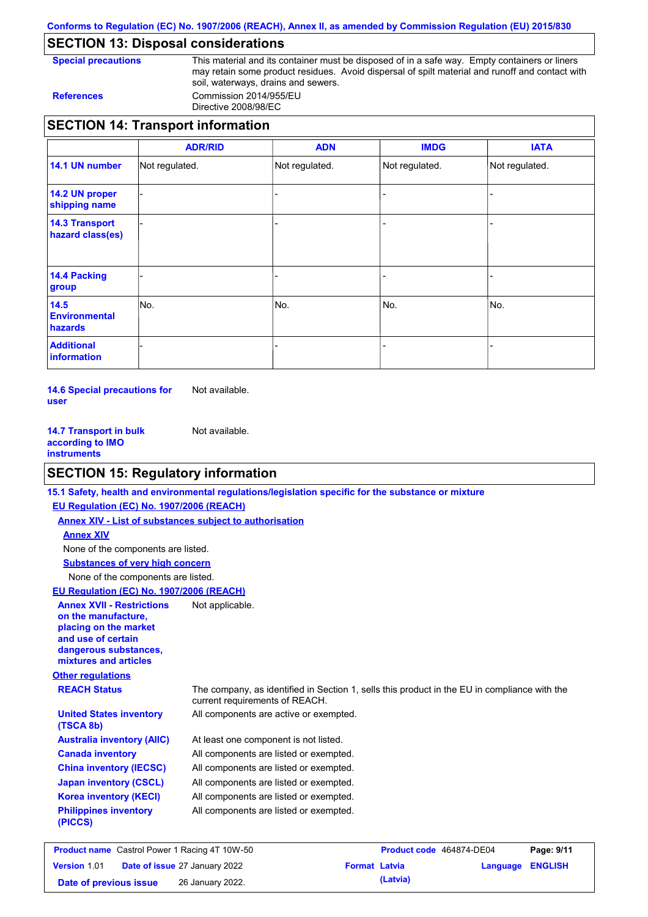**Conforms to Regulation (EC) No. 1907/2006 (REACH), Annex II, as amended by Commission Regulation (EU) 2015/830**

### **SECTION 13: Disposal considerations**

**Special precautions** This material and its container must be disposed of in a safe way. Empty containers or liners may retain some product residues. Avoid dispersal of spilt material and runoff and contact with soil, waterways, drains and sewers. **References** Commission 2014/955/EU

Directive 2008/98/EC

|                                           | <b>ADR/RID</b> | <b>ADN</b>     | <b>IMDG</b>    | <b>IATA</b>    |
|-------------------------------------------|----------------|----------------|----------------|----------------|
| 14.1 UN number                            | Not regulated. | Not regulated. | Not regulated. | Not regulated. |
| 14.2 UN proper<br>shipping name           |                |                |                |                |
| <b>14.3 Transport</b><br>hazard class(es) |                |                |                |                |
| 14.4 Packing<br>group                     |                |                |                |                |
| 14.5<br><b>Environmental</b><br>hazards   | INo.           | No.            | No.            | No.            |
| <b>Additional</b><br>information          |                |                |                |                |

**14.6 Special precautions for user** Not available.

**14.7 Transport in bulk according to IMO instruments** Not available.

### **SECTION 15: Regulatory information**

|                                                                                                                                                          | 15.1 Safety, health and environmental regulations/legislation specific for the substance or mixture                            |
|----------------------------------------------------------------------------------------------------------------------------------------------------------|--------------------------------------------------------------------------------------------------------------------------------|
| EU Regulation (EC) No. 1907/2006 (REACH)                                                                                                                 |                                                                                                                                |
| <b>Annex XIV - List of substances subject to authorisation</b>                                                                                           |                                                                                                                                |
| <b>Annex XIV</b>                                                                                                                                         |                                                                                                                                |
| None of the components are listed.                                                                                                                       |                                                                                                                                |
| <b>Substances of very high concern</b>                                                                                                                   |                                                                                                                                |
| None of the components are listed.                                                                                                                       |                                                                                                                                |
| EU Regulation (EC) No. 1907/2006 (REACH)                                                                                                                 |                                                                                                                                |
| <b>Annex XVII - Restrictions</b><br>on the manufacture,<br>placing on the market<br>and use of certain<br>dangerous substances,<br>mixtures and articles | Not applicable.                                                                                                                |
| <b>Other regulations</b>                                                                                                                                 |                                                                                                                                |
| <b>REACH Status</b>                                                                                                                                      | The company, as identified in Section 1, sells this product in the EU in compliance with the<br>current requirements of REACH. |
| <b>United States inventory</b><br>(TSCA 8b)                                                                                                              | All components are active or exempted.                                                                                         |
| <b>Australia inventory (AIIC)</b>                                                                                                                        | At least one component is not listed.                                                                                          |
| <b>Canada inventory</b>                                                                                                                                  | All components are listed or exempted.                                                                                         |
| <b>China inventory (IECSC)</b>                                                                                                                           | All components are listed or exempted.                                                                                         |
| <b>Japan inventory (CSCL)</b>                                                                                                                            | All components are listed or exempted.                                                                                         |
| <b>Korea inventory (KECI)</b>                                                                                                                            | All components are listed or exempted.                                                                                         |
| <b>Philippines inventory</b><br>(PICCS)                                                                                                                  | All components are listed or exempted.                                                                                         |
|                                                                                                                                                          |                                                                                                                                |

| <b>Product name</b> Castrol Power 1 Racing 4T 10W-50 |  |                                      | Product code 464874-DE04 |          | Page: 9/11              |  |
|------------------------------------------------------|--|--------------------------------------|--------------------------|----------|-------------------------|--|
| <b>Version 1.01</b>                                  |  | <b>Date of issue 27 January 2022</b> | <b>Format Latvia</b>     |          | <b>Language ENGLISH</b> |  |
| Date of previous issue                               |  | 26 January 2022.                     |                          | (Latvia) |                         |  |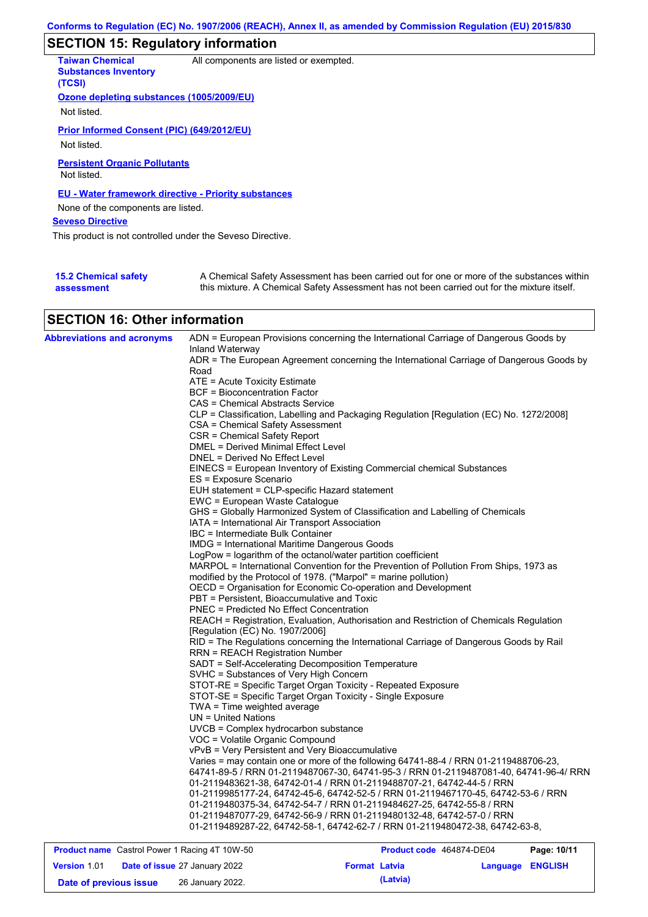## **SECTION 15: Regulatory information**

| <b>Taiwan Chemical</b><br><b>Substances Inventory</b><br>(TCSI) | All components are listed or exempted.                                                                                                                                                    |
|-----------------------------------------------------------------|-------------------------------------------------------------------------------------------------------------------------------------------------------------------------------------------|
| Ozone depleting substances (1005/2009/EU)                       |                                                                                                                                                                                           |
| Not listed.                                                     |                                                                                                                                                                                           |
| Prior Informed Consent (PIC) (649/2012/EU)                      |                                                                                                                                                                                           |
| Not listed.                                                     |                                                                                                                                                                                           |
| <b>Persistent Organic Pollutants</b><br>Not listed.             |                                                                                                                                                                                           |
| <b>EU - Water framework directive - Priority substances</b>     |                                                                                                                                                                                           |
| None of the components are listed.                              |                                                                                                                                                                                           |
| <b>Seveso Directive</b>                                         |                                                                                                                                                                                           |
| This product is not controlled under the Seveso Directive.      |                                                                                                                                                                                           |
|                                                                 |                                                                                                                                                                                           |
| <b>15.2 Chemical safety</b><br>assessment                       | A Chemical Safety Assessment has been carried out for one or more of the substances within<br>this mixture. A Chemical Safety Assessment has not been carried out for the mixture itself. |

### **SECTION 16: Other information**

| <b>Abbreviations and acronyms</b> | ADN = European Provisions concerning the International Carriage of Dangerous Goods by<br>Inland Waterway              |
|-----------------------------------|-----------------------------------------------------------------------------------------------------------------------|
|                                   | ADR = The European Agreement concerning the International Carriage of Dangerous Goods by                              |
|                                   | Road                                                                                                                  |
|                                   | ATE = Acute Toxicity Estimate                                                                                         |
|                                   | <b>BCF = Bioconcentration Factor</b>                                                                                  |
|                                   | CAS = Chemical Abstracts Service                                                                                      |
|                                   | CLP = Classification, Labelling and Packaging Regulation [Regulation (EC) No. 1272/2008]                              |
|                                   | CSA = Chemical Safety Assessment                                                                                      |
|                                   | CSR = Chemical Safety Report                                                                                          |
|                                   | DMEL = Derived Minimal Effect Level                                                                                   |
|                                   | DNEL = Derived No Effect Level                                                                                        |
|                                   | EINECS = European Inventory of Existing Commercial chemical Substances                                                |
|                                   | ES = Exposure Scenario                                                                                                |
|                                   | EUH statement = CLP-specific Hazard statement                                                                         |
|                                   | EWC = European Waste Catalogue                                                                                        |
|                                   | GHS = Globally Harmonized System of Classification and Labelling of Chemicals                                         |
|                                   | IATA = International Air Transport Association                                                                        |
|                                   | IBC = Intermediate Bulk Container                                                                                     |
|                                   | <b>IMDG</b> = International Maritime Dangerous Goods<br>LogPow = logarithm of the octanol/water partition coefficient |
|                                   | MARPOL = International Convention for the Prevention of Pollution From Ships, 1973 as                                 |
|                                   | modified by the Protocol of 1978. ("Marpol" = marine pollution)                                                       |
|                                   | OECD = Organisation for Economic Co-operation and Development                                                         |
|                                   | PBT = Persistent, Bioaccumulative and Toxic                                                                           |
|                                   | <b>PNEC</b> = Predicted No Effect Concentration                                                                       |
|                                   | REACH = Registration, Evaluation, Authorisation and Restriction of Chemicals Regulation                               |
|                                   | [Regulation (EC) No. 1907/2006]                                                                                       |
|                                   | RID = The Regulations concerning the International Carriage of Dangerous Goods by Rail                                |
|                                   | <b>RRN = REACH Registration Number</b>                                                                                |
|                                   | SADT = Self-Accelerating Decomposition Temperature                                                                    |
|                                   | SVHC = Substances of Very High Concern                                                                                |
|                                   | STOT-RE = Specific Target Organ Toxicity - Repeated Exposure                                                          |
|                                   | STOT-SE = Specific Target Organ Toxicity - Single Exposure                                                            |
|                                   | TWA = Time weighted average                                                                                           |
|                                   | $UN = United Nations$                                                                                                 |
|                                   | UVCB = Complex hydrocarbon substance                                                                                  |
|                                   | VOC = Volatile Organic Compound                                                                                       |
|                                   | vPvB = Very Persistent and Very Bioaccumulative                                                                       |
|                                   | Varies = may contain one or more of the following 64741-88-4 / RRN 01-2119488706-23,                                  |
|                                   | 64741-89-5 / RRN 01-2119487067-30, 64741-95-3 / RRN 01-2119487081-40, 64741-96-4/ RRN                                 |
|                                   | 01-2119483621-38.                            64742-01-4 / RRN 01-2119488707-21.                      64742-44-5       |
|                                   | 01-2119985177-24, 64742-45-6, 64742-52-5 / RRN 01-2119467170-45, 64742-53-6 / RRN                                     |
|                                   | 01-2119480375-34, 64742-54-7 / RRN 01-2119484627-25, 64742-55-8 / RRN                                                 |
|                                   | 01-2119487077-29, 64742-56-9 / RRN 01-2119480132-48, 64742-57-0 / RRN                                                 |
|                                   | 01-2119489287-22, 64742-58-1, 64742-62-7 / RRN 01-2119480472-38, 64742-63-8,                                          |
|                                   |                                                                                                                       |

| <b>Product name</b> Castrol Power 1 Racing 4T 10W-50 |  |                                      | Product code 464874-DE04 |          | Page: 10/11      |  |
|------------------------------------------------------|--|--------------------------------------|--------------------------|----------|------------------|--|
| <b>Version 1.01</b>                                  |  | <b>Date of issue 27 January 2022</b> | <b>Format Latvia</b>     |          | Language ENGLISH |  |
| Date of previous issue                               |  | 26 January 2022.                     |                          | (Latvia) |                  |  |